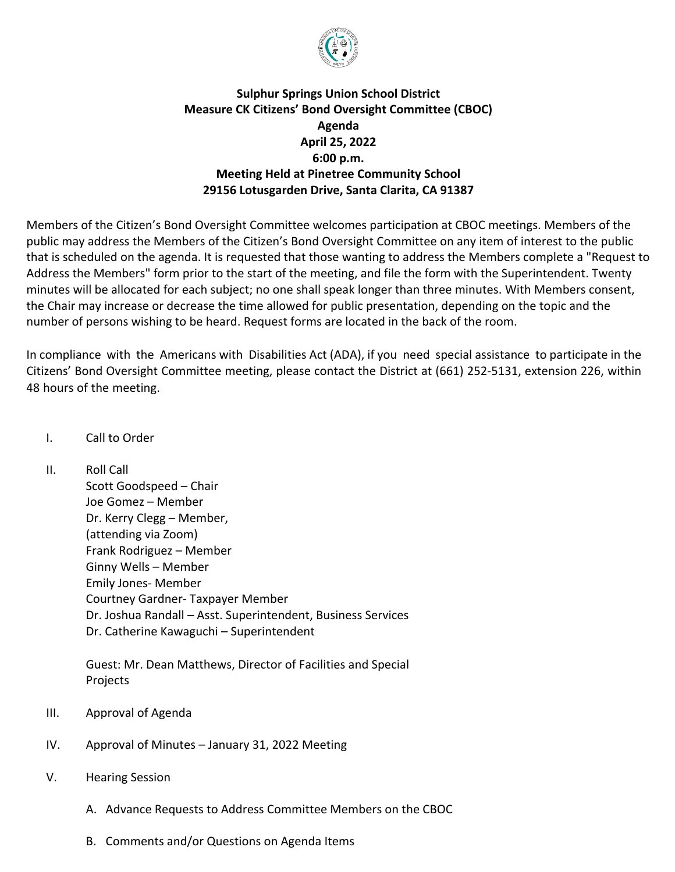

## **Sulphur Springs Union School District Measure CK Citizens' Bond Oversight Committee (CBOC) Agenda April 25, 2022 6:00 p.m. Meeting Held at Pinetree Community School 29156 Lotusgarden Drive, Santa Clarita, CA 91387**

Members of the Citizen's Bond Oversight Committee welcomes participation at CBOC meetings. Members of the public may address the Members of the Citizen's Bond Oversight Committee on any item of interest to the public that is scheduled on the agenda. It is requested that those wanting to address the Members complete a "Request to Address the Members" form prior to the start of the meeting, and file the form with the Superintendent. Twenty minutes will be allocated for each subject; no one shall speak longer than three minutes. With Members consent, the Chair may increase or decrease the time allowed for public presentation, depending on the topic and the number of persons wishing to be heard. Request forms are located in the back of the room.

In compliance with the Americans with Disabilities Act (ADA), if you need special assistance to participate in the Citizens' Bond Oversight Committee meeting, please contact the District at (661) 252-5131, extension 226, within 48 hours of the meeting.

## I. Call to Order

II. Roll Call

Scott Goodspeed – Chair Joe Gomez – Member Dr. Kerry Clegg – Member, (attending via Zoom) Frank Rodriguez – Member Ginny Wells – Member Emily Jones- Member Courtney Gardner- Taxpayer Member Dr. Joshua Randall – Asst. Superintendent, Business Services Dr. Catherine Kawaguchi – Superintendent

Guest: Mr. Dean Matthews, Director of Facilities and Special Projects

- III. Approval of Agenda
- IV. Approval of Minutes January 31, 2022 Meeting
- V. Hearing Session
	- A. Advance Requests to Address Committee Members on the CBOC
	- B. Comments and/or Questions on Agenda Items